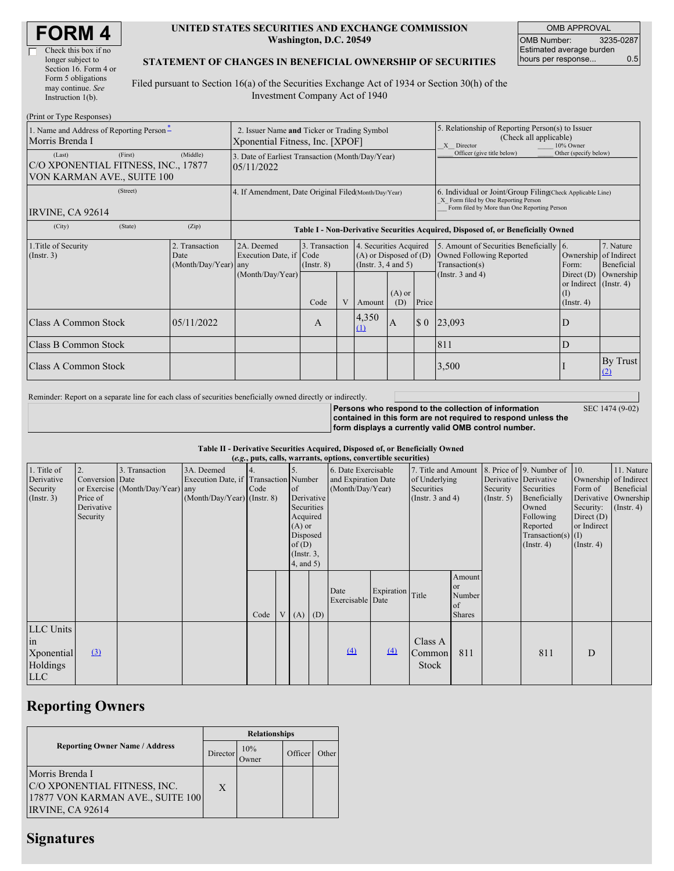| <b>FORM4</b> |
|--------------|
|--------------|

| Check this box if no  |
|-----------------------|
| longer subject to     |
| Section 16. Form 4 or |
| Form 5 obligations    |
| may continue. See     |
| Instruction $1(b)$ .  |
|                       |

 $(D_{\text{min}})$  or Type  $D$ .

 $\Box$ 

#### **UNITED STATES SECURITIES AND EXCHANGE COMMISSION Washington, D.C. 20549**

OMB APPROVAL OMB Number: 3235-0287 Estimated average burden hours per response... 0.5

### **STATEMENT OF CHANGES IN BENEFICIAL OWNERSHIP OF SECURITIES**

Filed pursuant to Section 16(a) of the Securities Exchange Act of 1934 or Section 30(h) of the Investment Company Act of 1940

| (FILIII OF TYPE RESPONSES)<br>1. Name and Address of Reporting Person-<br>Morris Brenda I<br>(First)<br>(Last) | 2. Issuer Name and Ticker or Trading Symbol<br>Xponential Fitness, Inc. [XPOF] |                                                                                  |                                           |  |                                                                                            | 5. Relationship of Reporting Person(s) to Issuer<br>(Check all applicable)<br>X Director<br>10% Owner<br>Officer (give title below)<br>Other (specify below) |       |                                                                                                                                                    |                                                                                                       |                                      |  |
|----------------------------------------------------------------------------------------------------------------|--------------------------------------------------------------------------------|----------------------------------------------------------------------------------|-------------------------------------------|--|--------------------------------------------------------------------------------------------|--------------------------------------------------------------------------------------------------------------------------------------------------------------|-------|----------------------------------------------------------------------------------------------------------------------------------------------------|-------------------------------------------------------------------------------------------------------|--------------------------------------|--|
| C/O XPONENTIAL FITNESS, INC., 17877<br>VON KARMAN AVE., SUITE 100                                              | 3. Date of Earliest Transaction (Month/Day/Year)<br>05/11/2022                 |                                                                                  |                                           |  |                                                                                            |                                                                                                                                                              |       |                                                                                                                                                    |                                                                                                       |                                      |  |
| (Street)<br>IRVINE, CA 92614                                                                                   |                                                                                | 4. If Amendment, Date Original Filed(Month/Day/Year)                             |                                           |  |                                                                                            |                                                                                                                                                              |       | 6. Individual or Joint/Group Filing(Check Applicable Line)<br>X Form filed by One Reporting Person<br>Form filed by More than One Reporting Person |                                                                                                       |                                      |  |
| (City)<br>(State)                                                                                              | (Zip)                                                                          | Table I - Non-Derivative Securities Acquired, Disposed of, or Beneficially Owned |                                           |  |                                                                                            |                                                                                                                                                              |       |                                                                                                                                                    |                                                                                                       |                                      |  |
| 1. Title of Security<br>$($ Instr. 3 $)$                                                                       | 2. Transaction<br>Date<br>(Month/Day/Year) any                                 | 2A. Deemed<br>Execution Date, if Code<br>(Month/Day/Year)                        | 3. Transaction<br>$($ Instr. $8)$<br>Code |  | 4. Securities Acquired<br>$(A)$ or Disposed of $(D)$<br>(Instr. $3, 4$ and $5$ )<br>Amount | $(A)$ or<br>(D)                                                                                                                                              | Price | 5. Amount of Securities Beneficially<br>Owned Following Reported<br>Transaction(s)<br>(Instr. $3$ and $4$ )                                        | 16.<br>Ownership of Indirect<br>Form:<br>Direct $(D)$<br>or Indirect (Instr. 4)<br>(I)<br>(Insert. 4) | 7. Nature<br>Beneficial<br>Ownership |  |
| <b>Class A Common Stock</b>                                                                                    | 05/11/2022                                                                     |                                                                                  | A                                         |  | 4,350<br>$\Omega$                                                                          | A                                                                                                                                                            | \$0\$ | 23,093                                                                                                                                             | D                                                                                                     |                                      |  |
| Class B Common Stock                                                                                           |                                                                                |                                                                                  |                                           |  |                                                                                            |                                                                                                                                                              |       | 811                                                                                                                                                | D                                                                                                     |                                      |  |
| <b>Class A Common Stock</b>                                                                                    |                                                                                |                                                                                  |                                           |  |                                                                                            |                                                                                                                                                              |       | 3,500                                                                                                                                              |                                                                                                       | By Trust<br>(2)                      |  |

Reminder: Report on a separate line for each class of securities beneficially owned directly or indirectly.

SEC 1474 (9-02)

**Persons who respond to the collection of information contained in this form are not required to respond unless the form displays a currently valid OMB control number.**

#### **Table II - Derivative Securities Acquired, Disposed of, or Beneficially Owned**

|                                                                             | (e.g., puts, calls, warrants, options, convertible securities) |                                                    |                                                                                    |                          |   |                                                                                                                  |  |                                                                |                  |                                                                             |                                                      |                                                  |                                                                                                                                      |                                                                                                                       |                                                        |
|-----------------------------------------------------------------------------|----------------------------------------------------------------|----------------------------------------------------|------------------------------------------------------------------------------------|--------------------------|---|------------------------------------------------------------------------------------------------------------------|--|----------------------------------------------------------------|------------------|-----------------------------------------------------------------------------|------------------------------------------------------|--------------------------------------------------|--------------------------------------------------------------------------------------------------------------------------------------|-----------------------------------------------------------------------------------------------------------------------|--------------------------------------------------------|
| 1. Title of<br>Derivative<br>Security<br>$($ Instr. 3 $)$                   | 2.<br>Conversion Date<br>Price of<br>Derivative<br>Security    | 3. Transaction<br>or Exercise (Month/Day/Year) any | 3A. Deemed<br>Execution Date, if Transaction Number<br>(Month/Day/Year) (Instr. 8) | $\overline{4}$ .<br>Code |   | .5.<br>of<br>Derivative<br>Securities<br>Acquired<br>$(A)$ or<br>Disposed<br>of(D)<br>$($ Instr. 3,<br>4, and 5) |  | 6. Date Exercisable<br>and Expiration Date<br>(Month/Day/Year) |                  | 7. Title and Amount<br>of Underlying<br>Securities<br>(Instr. $3$ and $4$ ) |                                                      | Derivative Derivative<br>Security<br>(Insert. 5) | 8. Price of 9. Number of<br>Securities<br>Beneficially<br>Owned<br>Following<br>Reported<br>$Transaction(s)$ (I)<br>$($ Instr. 4 $)$ | 10.<br>Ownership of Indirect<br>Form of<br>Derivative<br>Security:<br>Direct $(D)$<br>or Indirect<br>$($ Instr. 4 $)$ | 11. Nature<br>Beneficial<br>Ownership<br>$($ Instr. 4) |
|                                                                             |                                                                |                                                    |                                                                                    | Code                     | V | $(A)$ $(D)$                                                                                                      |  | Date<br>Exercisable Date                                       | Expiration Title |                                                                             | Amount<br><b>or</b><br>Number<br>of<br><b>Shares</b> |                                                  |                                                                                                                                      |                                                                                                                       |                                                        |
| LLC Units<br>$\overline{\text{in}}$<br>Xponential<br>Holdings<br><b>LLC</b> | $\Omega$                                                       |                                                    |                                                                                    |                          |   |                                                                                                                  |  | (4)                                                            | $\left(4\right)$ | Class A<br>Common<br>Stock                                                  | 811                                                  |                                                  | 811                                                                                                                                  | D                                                                                                                     |                                                        |

## **Reporting Owners**

|                                                                                                         | <b>Relationships</b> |              |         |       |  |  |  |  |
|---------------------------------------------------------------------------------------------------------|----------------------|--------------|---------|-------|--|--|--|--|
| <b>Reporting Owner Name / Address</b>                                                                   | Director             | 10%<br>Owner | Officer | Other |  |  |  |  |
| Morris Brenda I<br>C/O XPONENTIAL FITNESS, INC.<br>17877 VON KARMAN AVE., SUITE 100<br>IRVINE, CA 92614 | X                    |              |         |       |  |  |  |  |

## **Signatures**